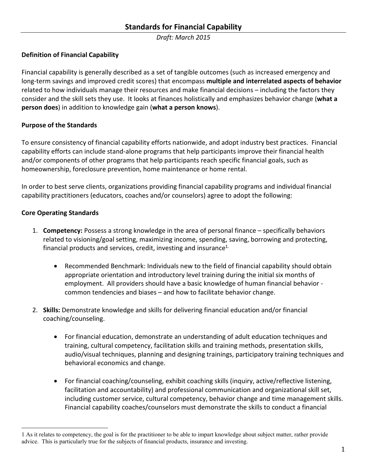*Draft: March 2015* 

### **Definition of Financial Capability**

Financial capability is generally described as a set of tangible outcomes (such as increased emergency and long-term savings and improved credit scores) that encompass **multiple and interrelated aspects of behavior** related to how individuals manage their resources and make financial decisions – including the factors they consider and the skill sets they use. It looks at finances holistically and emphasizes behavior change (**what a person does**) in addition to knowledge gain (**what a person knows**).

#### **Purpose of the Standards**

To ensure consistency of financial capability efforts nationwide, and adopt industry best practices. Financial capability efforts can include stand-alone programs that help participants improve their financial health and/or components of other programs that help participants reach specific financial goals, such as homeownership, foreclosure prevention, home maintenance or home rental.

In order to best serve clients, organizations providing financial capability programs and individual financial capability practitioners (educators, coaches and/or counselors) agree to adopt the following:

#### **Core Operating Standards**

 $\overline{a}$ 

- 1. **Competency:** Possess a strong knowledge in the area of personal finance specifically behaviors related to visioning/goal setting, maximizing income, spending, saving, borrowing and protecting, financial products and services, credit, investing and insurance<sup>1.</sup>
	- Recommended Benchmark: Individuals new to the field of financial capability should obtain appropriate orientation and introductory level training during the initial six months of employment. All providers should have a basic knowledge of human financial behavior common tendencies and biases – and how to facilitate behavior change.
- 2. **Skills:** Demonstrate knowledge and skills for delivering financial education and/or financial coaching/counseling.
	- For financial education, demonstrate an understanding of adult education techniques and training, cultural competency, facilitation skills and training methods, presentation skills, audio/visual techniques, planning and designing trainings, participatory training techniques and behavioral economics and change.
	- For financial coaching/counseling, exhibit coaching skills (inquiry, active/reflective listening, facilitation and accountability) and professional communication and organizational skill set, including customer service, cultural competency, behavior change and time management skills. Financial capability coaches/counselors must demonstrate the skills to conduct a financial

<sup>1</sup> As it relates to competency, the goal is for the practitioner to be able to impart knowledge about subject matter, rather provide advice. This is particularly true for the subjects of financial products, insurance and investing.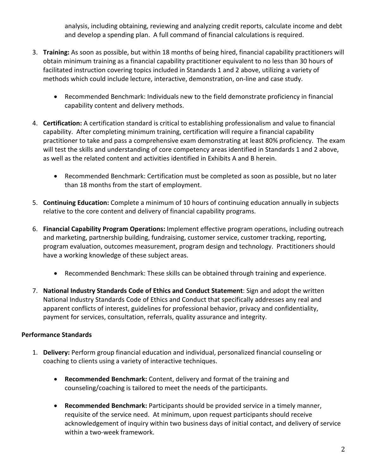analysis, including obtaining, reviewing and analyzing credit reports, calculate income and debt and develop a spending plan. A full command of financial calculations is required.

- 3. **Training:** As soon as possible, but within 18 months of being hired, financial capability practitioners will obtain minimum training as a financial capability practitioner equivalent to no less than 30 hours of facilitated instruction covering topics included in Standards 1 and 2 above, utilizing a variety of methods which could include lecture, interactive, demonstration, on-line and case study.
	- Recommended Benchmark: Individuals new to the field demonstrate proficiency in financial capability content and delivery methods.
- 4. **Certification:** A certification standard is critical to establishing professionalism and value to financial capability. After completing minimum training, certification will require a financial capability practitioner to take and pass a comprehensive exam demonstrating at least 80% proficiency. The exam will test the skills and understanding of core competency areas identified in Standards 1 and 2 above, as well as the related content and activities identified in Exhibits A and B herein.
	- Recommended Benchmark: Certification must be completed as soon as possible, but no later than 18 months from the start of employment.
- 5. **Continuing Education:** Complete a minimum of 10 hours of continuing education annually in subjects relative to the core content and delivery of financial capability programs.
- 6. **Financial Capability Program Operations:** Implement effective program operations, including outreach and marketing, partnership building, fundraising, customer service, customer tracking, reporting, program evaluation, outcomes measurement, program design and technology. Practitioners should have a working knowledge of these subject areas.
	- Recommended Benchmark: These skills can be obtained through training and experience.
- 7. **National Industry Standards Code of Ethics and Conduct Statement**: Sign and adopt the written National Industry Standards Code of Ethics and Conduct that specifically addresses any real and apparent conflicts of interest, guidelines for professional behavior, privacy and confidentiality, payment for services, consultation, referrals, quality assurance and integrity.

## **Performance Standards**

- 1. **Delivery:** Perform group financial education and individual, personalized financial counseling or coaching to clients using a variety of interactive techniques.
	- **Recommended Benchmark:** Content, delivery and format of the training and counseling/coaching is tailored to meet the needs of the participants.
	- **Recommended Benchmark:** Participants should be provided service in a timely manner, requisite of the service need. At minimum, upon request participants should receive acknowledgement of inquiry within two business days of initial contact, and delivery of service within a two-week framework.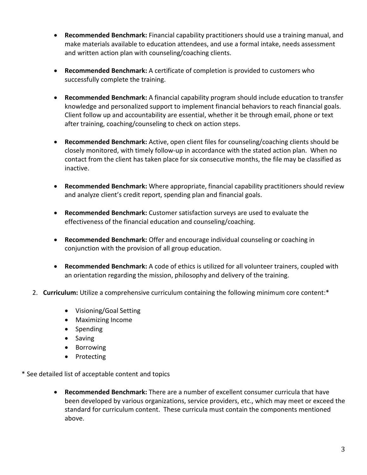- **Recommended Benchmark:** Financial capability practitioners should use a training manual, and make materials available to education attendees, and use a formal intake, needs assessment and written action plan with counseling/coaching clients.
- **Recommended Benchmark:** A certificate of completion is provided to customers who successfully complete the training.
- **Recommended Benchmark:** A financial capability program should include education to transfer knowledge and personalized support to implement financial behaviors to reach financial goals. Client follow up and accountability are essential, whether it be through email, phone or text after training, coaching/counseling to check on action steps.
- **Recommended Benchmark:** Active, open client files for counseling/coaching clients should be closely monitored, with timely follow-up in accordance with the stated action plan. When no contact from the client has taken place for six consecutive months, the file may be classified as inactive.
- **Recommended Benchmark:** Where appropriate, financial capability practitioners should review and analyze client's credit report, spending plan and financial goals.
- **Recommended Benchmark:** Customer satisfaction surveys are used to evaluate the effectiveness of the financial education and counseling/coaching.
- **Recommended Benchmark:** Offer and encourage individual counseling or coaching in conjunction with the provision of all group education.
- **Recommended Benchmark:** A code of ethics is utilized for all volunteer trainers, coupled with an orientation regarding the mission, philosophy and delivery of the training.
- 2. **Curriculum:** Utilize a comprehensive curriculum containing the following minimum core content:\*
	- Visioning/Goal Setting
	- Maximizing Income
	- Spending
	- Saving
	- Borrowing
	- Protecting
- \* See detailed list of acceptable content and topics
	- **Recommended Benchmark:** There are a number of excellent consumer curricula that have been developed by various organizations, service providers, etc., which may meet or exceed the standard for curriculum content. These curricula must contain the components mentioned above.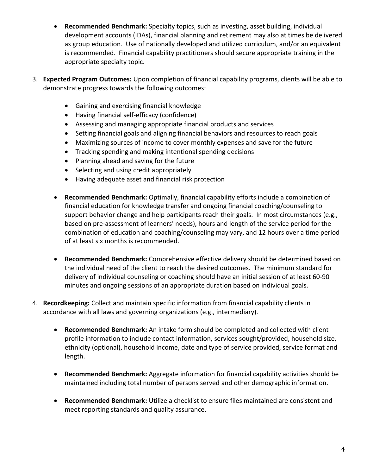- **Recommended Benchmark:** Specialty topics, such as investing, asset building, individual development accounts (IDAs), financial planning and retirement may also at times be delivered as group education. Use of nationally developed and utilized curriculum, and/or an equivalent is recommended. Financial capability practitioners should secure appropriate training in the appropriate specialty topic.
- 3. **Expected Program Outcomes:** Upon completion of financial capability programs, clients will be able to demonstrate progress towards the following outcomes:
	- Gaining and exercising financial knowledge
	- Having financial self-efficacy (confidence)
	- Assessing and managing appropriate financial products and services
	- Setting financial goals and aligning financial behaviors and resources to reach goals
	- Maximizing sources of income to cover monthly expenses and save for the future
	- Tracking spending and making intentional spending decisions
	- Planning ahead and saving for the future
	- Selecting and using credit appropriately
	- Having adequate asset and financial risk protection
	- **Recommended Benchmark:** Optimally, financial capability efforts include a combination of financial education for knowledge transfer and ongoing financial coaching/counseling to support behavior change and help participants reach their goals. In most circumstances (e.g., based on pre-assessment of learners' needs), hours and length of the service period for the combination of education and coaching/counseling may vary, and 12 hours over a time period of at least six months is recommended.
	- **Recommended Benchmark:** Comprehensive effective delivery should be determined based on the individual need of the client to reach the desired outcomes. The minimum standard for delivery of individual counseling or coaching should have an initial session of at least 60-90 minutes and ongoing sessions of an appropriate duration based on individual goals.
- 4. **Recordkeeping:** Collect and maintain specific information from financial capability clients in accordance with all laws and governing organizations (e.g., intermediary).
	- **Recommended Benchmark:** An intake form should be completed and collected with client profile information to include contact information, services sought/provided, household size, ethnicity (optional), household income, date and type of service provided, service format and length.
	- **Recommended Benchmark:** Aggregate information for financial capability activities should be maintained including total number of persons served and other demographic information.
	- **Recommended Benchmark:** Utilize a checklist to ensure files maintained are consistent and meet reporting standards and quality assurance.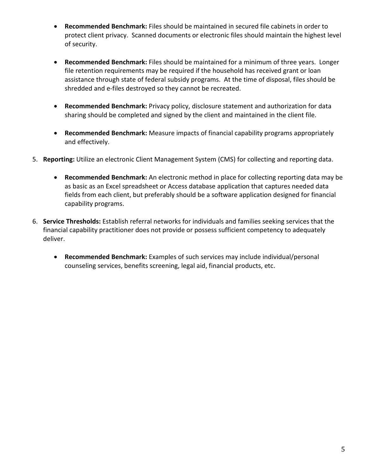- **Recommended Benchmark:** Files should be maintained in secured file cabinets in order to protect client privacy. Scanned documents or electronic files should maintain the highest level of security.
- **Recommended Benchmark:** Files should be maintained for a minimum of three years. Longer file retention requirements may be required if the household has received grant or loan assistance through state of federal subsidy programs. At the time of disposal, files should be shredded and e-files destroyed so they cannot be recreated.
- **Recommended Benchmark:** Privacy policy, disclosure statement and authorization for data sharing should be completed and signed by the client and maintained in the client file.
- **Recommended Benchmark:** Measure impacts of financial capability programs appropriately and effectively.
- 5. **Reporting:** Utilize an electronic Client Management System (CMS) for collecting and reporting data.
	- **Recommended Benchmark:** An electronic method in place for collecting reporting data may be as basic as an Excel spreadsheet or Access database application that captures needed data fields from each client, but preferably should be a software application designed for financial capability programs.
- 6. **Service Thresholds:** Establish referral networks for individuals and families seeking services that the financial capability practitioner does not provide or possess sufficient competency to adequately deliver.
	- **Recommended Benchmark:** Examples of such services may include individual/personal counseling services, benefits screening, legal aid, financial products, etc.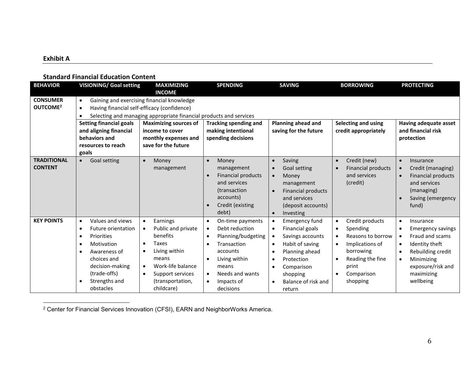## **Exhibit A**

#### **Standard Financial Education Content**

| <b>BEHAVIOR</b>                         | <b>VISIONING/ Goal setting</b>                                                                                                                                                                                                                                                                                                                  | <b>MAXIMIZING</b><br><b>INCOME</b>                                                                                                                                                                                                            | <b>SPENDING</b>                                                                                                                                                                       | <b>SAVING</b>                                                                                                                                                                                                                                                                      | <b>BORROWING</b>                                                                                                                                                                                         | <b>PROTECTING</b>                                                                                                                                                                                                                           |
|-----------------------------------------|-------------------------------------------------------------------------------------------------------------------------------------------------------------------------------------------------------------------------------------------------------------------------------------------------------------------------------------------------|-----------------------------------------------------------------------------------------------------------------------------------------------------------------------------------------------------------------------------------------------|---------------------------------------------------------------------------------------------------------------------------------------------------------------------------------------|------------------------------------------------------------------------------------------------------------------------------------------------------------------------------------------------------------------------------------------------------------------------------------|----------------------------------------------------------------------------------------------------------------------------------------------------------------------------------------------------------|---------------------------------------------------------------------------------------------------------------------------------------------------------------------------------------------------------------------------------------------|
| <b>CONSUMER</b><br>OUTCOME <sup>2</sup> | Gaining and exercising financial knowledge<br>$\bullet$<br>Having financial self-efficacy (confidence)<br>$\bullet$<br>Selecting and managing appropriate financial products and services<br><b>Planning ahead and</b><br>Selecting and using<br><b>Setting financial goals</b><br><b>Maximizing sources of</b><br><b>Tracking spending and</b> |                                                                                                                                                                                                                                               |                                                                                                                                                                                       |                                                                                                                                                                                                                                                                                    |                                                                                                                                                                                                          | Having adequate asset                                                                                                                                                                                                                       |
|                                         | and aligning financial<br>behaviors and<br>resources to reach<br>goals                                                                                                                                                                                                                                                                          | income to cover<br>monthly expenses and<br>save for the future                                                                                                                                                                                | making intentional<br>spending decisions                                                                                                                                              | saving for the future                                                                                                                                                                                                                                                              | credit appropriately                                                                                                                                                                                     | and financial risk<br>protection                                                                                                                                                                                                            |
| <b>TRADITIONAL</b><br><b>CONTENT</b>    | Goal setting                                                                                                                                                                                                                                                                                                                                    | Money<br>management                                                                                                                                                                                                                           | Money<br>$\bullet$<br>management<br><b>Financial products</b><br>and services<br><i>(transaction)</i><br>accounts)<br>Credit (existing<br>$\bullet$<br>debt)                          | Saving<br>$\bullet$<br><b>Goal setting</b><br>$\bullet$<br>Money<br>$\bullet$<br>management<br><b>Financial products</b><br>$\bullet$<br>and services<br>(deposit accounts)<br>Investing<br>$\bullet$                                                                              | Credit (new)<br>$\bullet$<br><b>Financial products</b><br>and services<br>(credit)                                                                                                                       | Insurance<br>$\bullet$<br>Credit (managing)<br>$\bullet$<br><b>Financial products</b><br>$\bullet$<br>and services<br>(managing)<br>Saving (emergency<br>fund)                                                                              |
| <b>KEY POINTS</b>                       | Values and views<br>$\bullet$<br>Future orientation<br>٠<br>Priorities<br>$\bullet$<br>Motivation<br>٠<br>Awareness of<br>choices and<br>decision-making<br>(trade-offs)<br>Strengths and<br>obstacles                                                                                                                                          | Earnings<br>$\bullet$<br>Public and private<br>$\bullet$<br>benefits<br><b>Taxes</b><br>$\bullet$<br>Living within<br>$\bullet$<br>means<br>Work-life balance<br>$\bullet$<br>Support services<br>$\bullet$<br>(transportation,<br>childcare) | On-time payments<br>$\bullet$<br>Debt reduction<br>Planning/budgeting<br>Transaction<br>accounts<br>Living within<br>means<br>Needs and wants<br>$\bullet$<br>Impacts of<br>decisions | <b>Emergency fund</b><br>$\bullet$<br>Financial goals<br>$\bullet$<br>Savings accounts<br>$\bullet$<br>Habit of saving<br>$\bullet$<br>Planning ahead<br>$\bullet$<br>Protection<br>$\bullet$<br>Comparison<br>$\bullet$<br>shopping<br>Balance of risk and<br>$\bullet$<br>return | Credit products<br>$\bullet$<br>Spending<br>$\bullet$<br>Reasons to borrow<br>$\bullet$<br>Implications of<br>borrowing<br>Reading the fine<br>$\bullet$<br>print<br>Comparison<br>$\bullet$<br>shopping | Insurance<br>$\bullet$<br><b>Emergency savings</b><br>$\bullet$<br>Fraud and scams<br>$\bullet$<br>Identity theft<br>$\bullet$<br>Rebuilding credit<br>$\bullet$<br>Minimizing<br>$\bullet$<br>exposure/risk and<br>maximizing<br>wellbeing |

<sup>2</sup> Center for Financial Services Innovation (CFSI), EARN and NeighborWorks America.